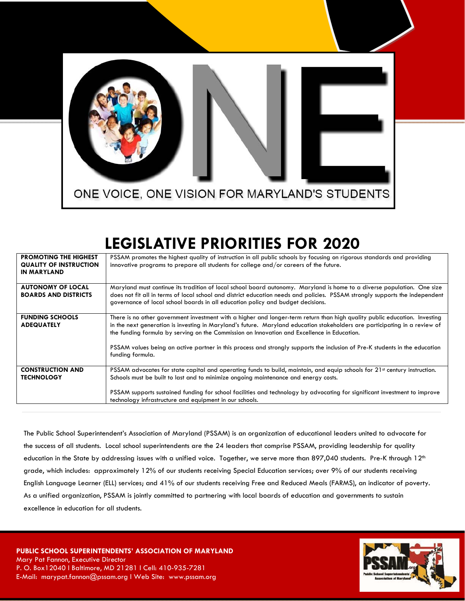

## **LEGISLATIVE PRIORITIES FOR 2020**

| <b>PROMOTING THE HIGHEST</b><br><b>QUALITY OF INSTRUCTION</b><br>IN MARYLAND | PSSAM promotes the highest quality of instruction in all public schools by focusing on rigorous standards and providing<br>innovative programs to prepare all students for college and/or careers of the future.                                                                                                                                                                                                                                                                                           |
|------------------------------------------------------------------------------|------------------------------------------------------------------------------------------------------------------------------------------------------------------------------------------------------------------------------------------------------------------------------------------------------------------------------------------------------------------------------------------------------------------------------------------------------------------------------------------------------------|
| <b>AUTONOMY OF LOCAL</b><br><b>BOARDS AND DISTRICTS</b>                      | Maryland must continue its tradition of local school board autonomy. Maryland is home to a diverse population. One size<br>does not fit all in terms of local school and district education needs and policies. PSSAM strongly supports the independent<br>governance of local school boards in all education policy and budget decisions.                                                                                                                                                                 |
| <b>FUNDING SCHOOLS</b><br><b>ADEQUATELY</b>                                  | There is no other government investment with a higher and longer-term return than high quality public education. Investing<br>in the next generation is investing in Maryland's future. Maryland education stakeholders are participating in a review of<br>the funding formula by serving on the Commission on Innovation and Excellence in Education.<br>PSSAM values being an active partner in this process and strongly supports the inclusion of Pre-K students in the education<br>funding formula. |
| <b>CONSTRUCTION AND</b><br><b>TECHNOLOGY</b>                                 | PSSAM advocates for state capital and operating funds to build, maintain, and equip schools for 21 <sup>st</sup> century instruction.<br>Schools must be built to last and to minimize ongoing maintenance and energy costs.<br>PSSAM supports sustained funding for school facilities and technology by advocating for significant investment to improve<br>technology infrastructure and equipment in our schools.                                                                                       |

The Public School Superintendent's Association of Maryland (PSSAM) is an organization of educational leaders united to advocate for the success of all students. Local school superintendents are the 24 leaders that comprise PSSAM, providing leadership for quality education in the State by addressing issues with a unified voice. Together, we serve more than 897,040 students. Pre-K through 12<sup>th</sup> grade, which includes: approximately 12% of our students receiving Special Education services; over 9% of our students receiving English Language Learner (ELL) services; and 41% of our students receiving Free and Reduced Meals (FARMS), an indicator of poverty. As a unified organization, PSSAM is jointly committed to partnering with local boards of education and governments to sustain excellence in education for all students.

**PUBLIC SCHOOL SUPERINTENDENTS' ASSOCIATION OF MARYLAND** Mary Pat Fannon, Executive Director P. O. Box12040 l Baltimore, MD 21281 l Cell: 410-935-7281 E-Mail: marypat.fannon@pssam.org l Web Site: www.pssam.org